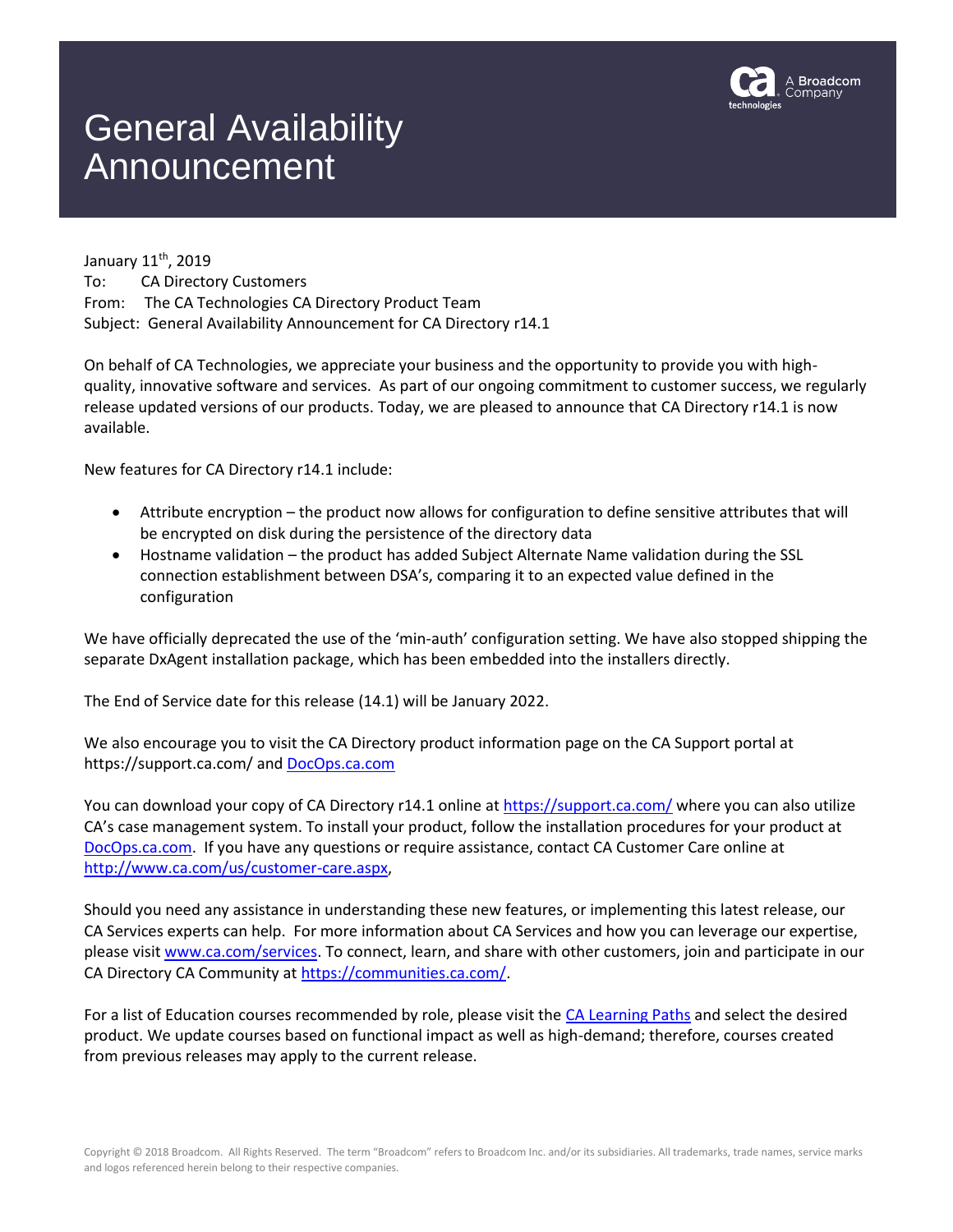

## General Availability Announcement

January 11<sup>th</sup>, 2019 To: CA Directory Customers From: The CA Technologies CA Directory Product Team Subject: General Availability Announcement for CA Directory r14.1

On behalf of CA Technologies, we appreciate your business and the opportunity to provide you with highquality, innovative software and services. As part of our ongoing commitment to customer success, we regularly release updated versions of our products. Today, we are pleased to announce that CA Directory r14.1 is now available.

New features for CA Directory r14.1 include:

- Attribute encryption the product now allows for configuration to define sensitive attributes that will be encrypted on disk during the persistence of the directory data
- Hostname validation the product has added Subject Alternate Name validation during the SSL connection establishment between DSA's, comparing it to an expected value defined in the configuration

We have officially deprecated the use of the 'min-auth' configuration setting. We have also stopped shipping the separate DxAgent installation package, which has been embedded into the installers directly.

The End of Service date for this release (14.1) will be January 2022.

We also encourage you to visit the CA Directory product information page on the CA Support portal at https://support.ca.com/ and [DocOps.ca.com](https://docops.ca.com/)

You can download your copy of CA Directory r14.1 online a[t https://support.ca.com/](https://support.ca.com/) where you can also utilize CA's case management system. To install your product, follow the installation procedures for your product at [DocOps.ca.com.](https://docops.ca.com/) If you have any questions or require assistance, contact CA Customer Care online at [http://www.ca.com/us/customer-care.aspx,](http://www.ca.com/us/customer-care.aspx)

Should you need any assistance in understanding these new features, or implementing this latest release, our CA Services experts can help. For more information about CA Services and how you can leverage our expertise, please visit [www.ca.com/services.](http://www.ca.com/services) To connect, learn, and share with other customers, join and participate in our CA Directory CA Community a[t https://communities.ca.com/.](https://communities.ca.com/)

For a list of Education courses recommended by role, please visit the [CA Learning Paths](http://www.ca.com/us/education-training/learning-paths.html?intcmp=headernav) and select the desired product. We update courses based on functional impact as well as high-demand; therefore, courses created from previous releases may apply to the current release.